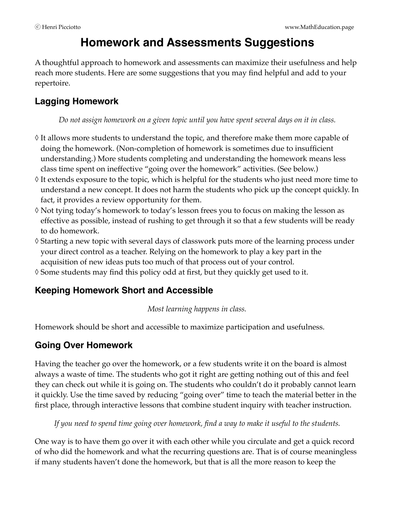# **Homework and Assessments Suggestions**

A thoughtful approach to homework and assessments can maximize their usefulness and help reach more students. Here are some suggestions that you may find helpful and add to your repertoire.

# **Lagging Homework**

*Do not assign homework on a given topic until you have spent several days on it in class.* 

- ◊ It allows more students to understand the topic, and therefore make them more capable of doing the homework. (Non-completion of homework is sometimes due to insufficient understanding.) More students completing and understanding the homework means less class time spent on ineffective "going over the homework" activities. (See below.)
- ◊ It extends exposure to the topic, which is helpful for the students who just need more time to understand a new concept. It does not harm the students who pick up the concept quickly. In fact, it provides a review opportunity for them.
- ◊ Not tying today's homework to today's lesson frees you to focus on making the lesson as effective as possible, instead of rushing to get through it so that a few students will be ready to do homework.
- ◊ Starting a new topic with several days of classwork puts more of the learning process under your direct control as a teacher. Relying on the homework to play a key part in the acquisition of new ideas puts too much of that process out of your control.
- ◊ Some students may find this policy odd at first, but they quickly get used to it.

# **Keeping Homework Short and Accessible**

*Most learning happens in class.* 

Homework should be short and accessible to maximize participation and usefulness.

# **Going Over Homework**

Having the teacher go over the homework, or a few students write it on the board is almost always a waste of time. The students who got it right are getting nothing out of this and feel they can check out while it is going on. The students who couldn't do it probably cannot learn it quickly. Use the time saved by reducing "going over" time to teach the material better in the first place, through interactive lessons that combine student inquiry with teacher instruction.

*If you need to spend time going over homework, find a way to make it useful to the students.* 

One way is to have them go over it with each other while you circulate and get a quick record of who did the homework and what the recurring questions are. That is of course meaningless if many students haven't done the homework, but that is all the more reason to keep the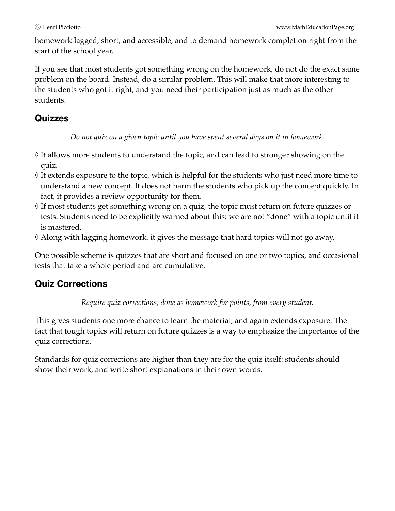homework lagged, short, and accessible, and to demand homework completion right from the start of the school year.

If you see that most students got something wrong on the homework, do not do the exact same problem on the board. Instead, do a similar problem. This will make that more interesting to the students who got it right, and you need their participation just as much as the other students.

### **Quizzes**

*Do not quiz on a given topic until you have spent several days on it in homework.* 

- ◊ It allows more students to understand the topic, and can lead to stronger showing on the quiz.
- ◊ It extends exposure to the topic, which is helpful for the students who just need more time to understand a new concept. It does not harm the students who pick up the concept quickly. In fact, it provides a review opportunity for them.
- ◊ If most students get something wrong on a quiz, the topic must return on future quizzes or tests. Students need to be explicitly warned about this: we are not "done" with a topic until it is mastered.
- ◊ Along with lagging homework, it gives the message that hard topics will not go away.

One possible scheme is quizzes that are short and focused on one or two topics, and occasional tests that take a whole period and are cumulative.

# **Quiz Corrections**

*Require quiz corrections, done as homework for points, from every student.*

This gives students one more chance to learn the material, and again extends exposure. The fact that tough topics will return on future quizzes is a way to emphasize the importance of the quiz corrections.

Standards for quiz corrections are higher than they are for the quiz itself: students should show their work, and write short explanations in their own words.